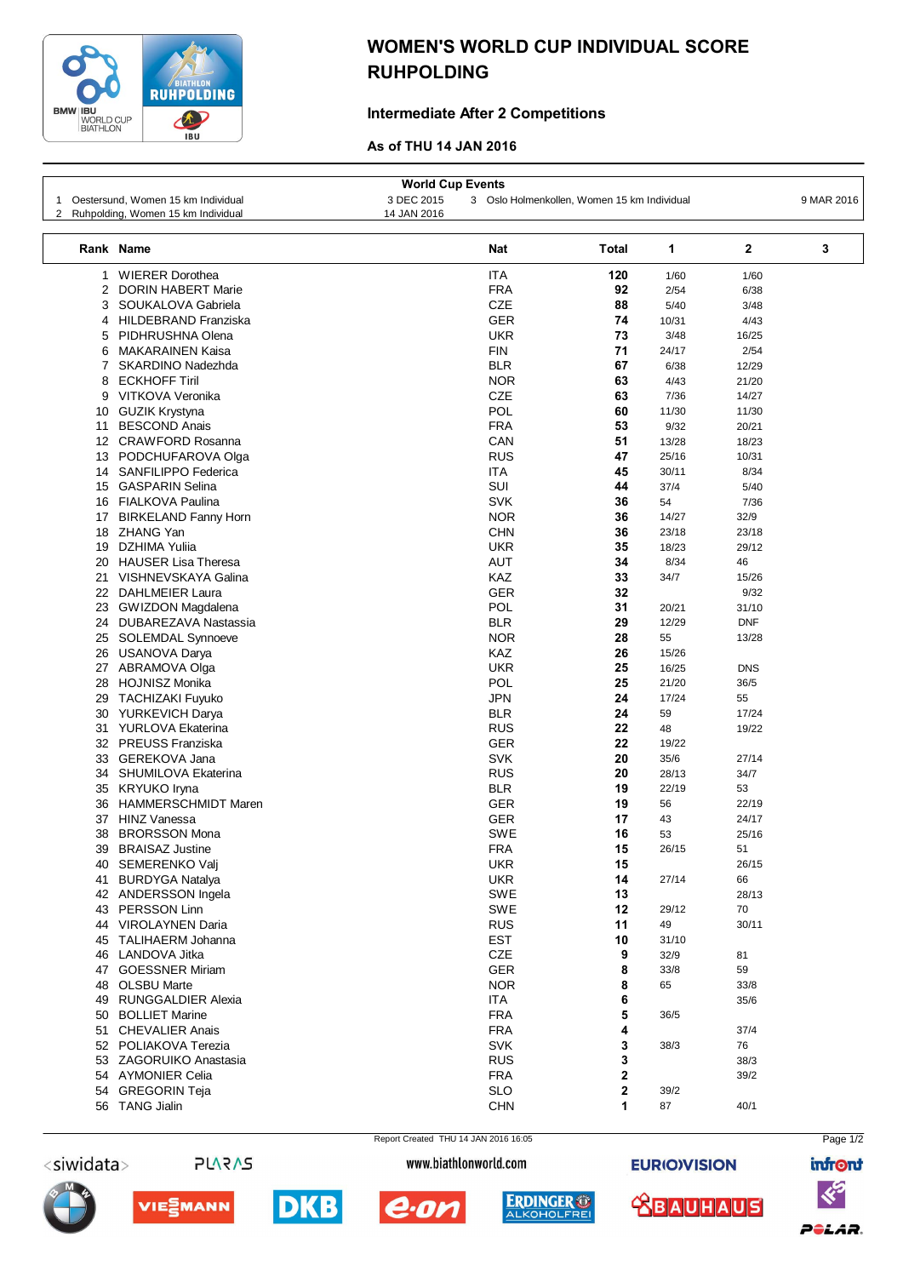

## WOMEN'S WORLD CUP INDIVIDUAL SCORE RUHPOLDING

## Intermediate After 2 Competitions

## As of THU 14 JAN 2016

|    |                                    |             | <b>World Cup Events</b> |                                             |              |            |            |  |  |  |  |  |
|----|------------------------------------|-------------|-------------------------|---------------------------------------------|--------------|------------|------------|--|--|--|--|--|
| 1  | Oestersund, Women 15 km Individual | 3 DEC 2015  |                         | 3 Oslo Holmenkollen, Women 15 km Individual |              |            | 9 MAR 2016 |  |  |  |  |  |
| 2  | Ruhpolding, Women 15 km Individual | 14 JAN 2016 |                         |                                             |              |            |            |  |  |  |  |  |
|    | Rank Name                          |             | <b>Total</b>            | 1                                           | $\mathbf{2}$ | 3          |            |  |  |  |  |  |
| 1  | <b>WIERER Dorothea</b>             |             | ITA                     | 120                                         | 1/60         | 1/60       |            |  |  |  |  |  |
| 2  | <b>DORIN HABERT Marie</b>          |             | <b>FRA</b>              | 92                                          | 2/54         | 6/38       |            |  |  |  |  |  |
| 3  | SOUKALOVA Gabriela                 |             | <b>CZE</b>              | 88                                          | 5/40         | 3/48       |            |  |  |  |  |  |
| 4  | <b>HILDEBRAND Franziska</b>        |             | <b>GER</b>              | 74                                          | 10/31        | 4/43       |            |  |  |  |  |  |
| 5  | PIDHRUSHNA Olena                   |             | <b>UKR</b>              | 73                                          | 3/48         | 16/25      |            |  |  |  |  |  |
| 6  | <b>MAKARAINEN Kaisa</b>            |             | <b>FIN</b>              | 71                                          | 24/17        | 2/54       |            |  |  |  |  |  |
| 7  | SKARDINO Nadezhda                  |             | <b>BLR</b>              | 67                                          | 6/38         | 12/29      |            |  |  |  |  |  |
| 8  | <b>ECKHOFF Tiril</b>               |             | <b>NOR</b>              | 63                                          | 4/43         | 21/20      |            |  |  |  |  |  |
| 9  | VITKOVA Veronika                   |             | <b>CZE</b>              | 63                                          | 7/36         | 14/27      |            |  |  |  |  |  |
| 10 | <b>GUZIK Krystyna</b>              |             | POL                     | 60                                          | 11/30        | 11/30      |            |  |  |  |  |  |
| 11 | <b>BESCOND Anais</b>               |             | <b>FRA</b>              | 53                                          | 9/32         | 20/21      |            |  |  |  |  |  |
|    | 12 CRAWFORD Rosanna                |             | CAN                     | 51                                          | 13/28        | 18/23      |            |  |  |  |  |  |
|    | 13 PODCHUFAROVA Olga               |             | <b>RUS</b>              | 47                                          | 25/16        | 10/31      |            |  |  |  |  |  |
|    | 14 SANFILIPPO Federica             |             | <b>ITA</b>              | 45                                          | 30/11        | 8/34       |            |  |  |  |  |  |
|    | 15 GASPARIN Selina                 |             | SUI                     | 44                                          | 37/4         | 5/40       |            |  |  |  |  |  |
|    | 16 FIALKOVA Paulina                |             | <b>SVK</b>              | 36                                          | 54           | 7/36       |            |  |  |  |  |  |
| 17 | <b>BIRKELAND Fanny Horn</b>        |             | <b>NOR</b>              | 36                                          | 14/27        | 32/9       |            |  |  |  |  |  |
|    | 18 ZHANG Yan                       |             | <b>CHN</b>              | 36                                          | 23/18        | 23/18      |            |  |  |  |  |  |
| 19 | DZHIMA Yulija                      |             | <b>UKR</b>              | 35                                          | 18/23        | 29/12      |            |  |  |  |  |  |
|    | 20 HAUSER Lisa Theresa             |             | <b>AUT</b>              | 34                                          | 8/34         | 46         |            |  |  |  |  |  |
|    | 21 VISHNEVSKAYA Galina             |             | KAZ                     | 33                                          | 34/7         | 15/26      |            |  |  |  |  |  |
|    | 22 DAHLMEIER Laura                 |             | <b>GER</b>              | 32                                          |              | 9/32       |            |  |  |  |  |  |
|    | 23 GWIZDON Magdalena               |             | POL                     | 31                                          | 20/21        | 31/10      |            |  |  |  |  |  |
|    | 24 DUBAREZAVA Nastassia            |             | <b>BLR</b>              | 29                                          | 12/29        | <b>DNF</b> |            |  |  |  |  |  |
|    | 25 SOLEMDAL Synnoeve               |             | <b>NOR</b>              | 28                                          | 55           | 13/28      |            |  |  |  |  |  |
|    | 26 USANOVA Darya                   |             | KAZ                     | 26                                          | 15/26        |            |            |  |  |  |  |  |
|    | 27 ABRAMOVA Olga                   |             | <b>UKR</b>              | 25                                          | 16/25        | <b>DNS</b> |            |  |  |  |  |  |
| 28 | <b>HOJNISZ Monika</b>              |             | <b>POL</b>              | 25                                          | 21/20        | 36/5       |            |  |  |  |  |  |
| 29 | TACHIZAKI Fuyuko                   |             | <b>JPN</b>              | 24                                          | 17/24        | 55         |            |  |  |  |  |  |
|    | 30 YURKEVICH Darya                 |             | <b>BLR</b>              | 24                                          | 59           | 17/24      |            |  |  |  |  |  |
|    | 31 YURLOVA Ekaterina               |             | <b>RUS</b>              | 22                                          | 48           | 19/22      |            |  |  |  |  |  |
|    | 32 PREUSS Franziska                |             | <b>GER</b>              | 22                                          | 19/22        |            |            |  |  |  |  |  |
|    | 33 GEREKOVA Jana                   |             | <b>SVK</b>              | 20                                          | 35/6         | 27/14      |            |  |  |  |  |  |
|    | 34 SHUMILOVA Ekaterina             |             | <b>RUS</b>              | 20                                          | 28/13        | 34/7       |            |  |  |  |  |  |
| 35 | KRYUKO Iryna                       |             | <b>BLR</b>              | 19                                          | 22/19        | 53         |            |  |  |  |  |  |
| 36 | HAMMERSCHMIDT Maren                |             | <b>GER</b>              | 19                                          | 56           | 22/19      |            |  |  |  |  |  |
| 37 | <b>HINZ Vanessa</b>                |             | <b>GER</b>              | 17                                          | 43           | 24/17      |            |  |  |  |  |  |
| 38 | <b>BRORSSON Mona</b>               |             | <b>SWE</b>              | 16                                          | 53           | 25/16      |            |  |  |  |  |  |
| 39 | <b>BRAISAZ Justine</b>             |             | FRA                     | 15                                          | 26/15        | 51         |            |  |  |  |  |  |
|    | 40 SEMERENKO Valj                  |             | <b>UKR</b>              | 15                                          |              | 26/15      |            |  |  |  |  |  |
| 41 | <b>BURDYGA Natalya</b>             |             | <b>UKR</b>              | 14                                          | 27/14        | 66         |            |  |  |  |  |  |
|    | 42 ANDERSSON Ingela                |             | SWE                     | 13                                          |              | 28/13      |            |  |  |  |  |  |
|    | 43 PERSSON Linn                    |             | SWE                     | 12                                          | 29/12        | 70         |            |  |  |  |  |  |
|    | 44 VIROLAYNEN Daria                |             | <b>RUS</b>              | 11                                          | 49           | 30/11      |            |  |  |  |  |  |
|    | 45 TALIHAERM Johanna               |             | <b>EST</b>              | 10                                          | 31/10        |            |            |  |  |  |  |  |
|    | 46 LANDOVA Jitka                   |             | CZE                     | 9                                           | 32/9         | 81         |            |  |  |  |  |  |
|    | 47 GOESSNER Miriam                 |             | <b>GER</b>              | 8                                           | 33/8         | 59         |            |  |  |  |  |  |
|    | 48 OLSBU Marte                     |             | <b>NOR</b>              | 8                                           | 65           | 33/8       |            |  |  |  |  |  |
|    | 49 RUNGGALDIER Alexia              |             | <b>ITA</b>              | 6                                           |              | 35/6       |            |  |  |  |  |  |
|    | 50 BOLLIET Marine                  |             | <b>FRA</b>              | 5                                           | 36/5         |            |            |  |  |  |  |  |
|    | 51 CHEVALIER Anais                 |             | <b>FRA</b>              | 4                                           |              | 37/4       |            |  |  |  |  |  |
|    | 52 POLIAKOVA Terezia               |             | <b>SVK</b>              | 3                                           | 38/3         | 76         |            |  |  |  |  |  |
|    | 53 ZAGORUIKO Anastasia             |             | <b>RUS</b>              | 3                                           |              | 38/3       |            |  |  |  |  |  |
|    | 54 AYMONIER Celia                  |             | <b>FRA</b>              | 2                                           |              | 39/2       |            |  |  |  |  |  |
|    | 54 GREGORIN Teja                   |             | <b>SLO</b>              | 2                                           | 39/2         |            |            |  |  |  |  |  |
|    | 56 TANG Jialin                     |             | <b>CHN</b>              | 1                                           | 87           | 40/1       |            |  |  |  |  |  |
|    |                                    |             |                         |                                             |              |            |            |  |  |  |  |  |



**PLARAS** 

Report Created THU 14 JAN 2016 16:05 www.biathlonworld.com

**EURIO)VISION** 







**DKB**